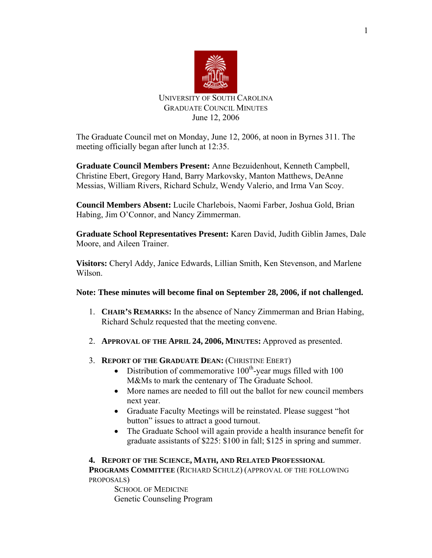

# UNIVERSITY OF SOUTH CAROLINA GRADUATE COUNCIL MINUTES June 12, 2006

The Graduate Council met on Monday, June 12, 2006, at noon in Byrnes 311. The meeting officially began after lunch at 12:35.

**Graduate Council Members Present:** Anne Bezuidenhout, Kenneth Campbell, Christine Ebert, Gregory Hand, Barry Markovsky, Manton Matthews, DeAnne Messias, William Rivers, Richard Schulz, Wendy Valerio, and Irma Van Scoy.

**Council Members Absent:** Lucile Charlebois, Naomi Farber, Joshua Gold, Brian Habing, Jim O'Connor, and Nancy Zimmerman.

**Graduate School Representatives Present:** Karen David, Judith Giblin James, Dale Moore, and Aileen Trainer.

**Visitors:** Cheryl Addy, Janice Edwards, Lillian Smith, Ken Stevenson, and Marlene Wilson.

# **Note: These minutes will become final on September 28, 2006, if not challenged.**

- 1. **CHAIR'S REMARKS:** In the absence of Nancy Zimmerman and Brian Habing, Richard Schulz requested that the meeting convene.
- 2. **APPROVAL OF THE APRIL 24, 2006, MINUTES:** Approved as presented.
- 3. **REPORT OF THE GRADUATE DEAN:** (CHRISTINE EBERT)
	- Distribution of commemorative  $100<sup>th</sup>$ -year mugs filled with 100 M&Ms to mark the centenary of The Graduate School.
	- More names are needed to fill out the ballot for new council members next year.
	- Graduate Faculty Meetings will be reinstated. Please suggest "hot button" issues to attract a good turnout.
	- The Graduate School will again provide a health insurance benefit for graduate assistants of \$225: \$100 in fall; \$125 in spring and summer.

**4. REPORT OF THE SCIENCE, MATH, AND RELATED PROFESSIONAL PROGRAMS COMMITTEE** (RICHARD SCHULZ) (APPROVAL OF THE FOLLOWING PROPOSALS)

SCHOOL OF MEDICINE Genetic Counseling Program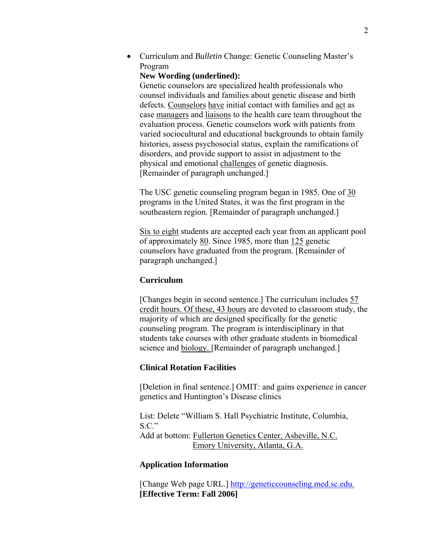• Curriculum and *Bulletin* Change: Genetic Counseling Master's Program

### **New Wording (underlined):**

Genetic counselors are specialized health professionals who counsel individuals and families about genetic disease and birth defects. Counselors have initial contact with families and act as case managers and liaisons to the health care team throughout the evaluation process. Genetic counselors work with patients from varied sociocultural and educational backgrounds to obtain family histories, assess psychosocial status, explain the ramifications of disorders, and provide support to assist in adjustment to the physical and emotional challenges of genetic diagnosis. [Remainder of paragraph unchanged.]

The USC genetic counseling program began in 1985. One of 30 programs in the United States, it was the first program in the southeastern region. [Remainder of paragraph unchanged.]

Six to eight students are accepted each year from an applicant pool of approximately 80. Since 1985, more than 125 genetic counselors have graduated from the program. [Remainder of paragraph unchanged.]

## **Curriculum**

[Changes begin in second sentence.] The curriculum includes 57 credit hours. Of these, 43 hours are devoted to classroom study, the majority of which are designed specifically for the genetic counseling program. The program is interdisciplinary in that students take courses with other graduate students in biomedical science and **biology**. [Remainder of paragraph unchanged.]

### **Clinical Rotation Facilities**

[Deletion in final sentence.] OMIT: and gains experience in cancer genetics and Huntington's Disease clinics

List: Delete "William S. Hall Psychiatric Institute, Columbia,  $S.C.$ " Add at bottom: Fullerton Genetics Center, Asheville, N.C. Emory University, Atlanta, G.A.

### **Application Information**

[Change Web page URL.] http://geneticcounseling.med.sc.edu. **[Effective Term: Fall 2006]**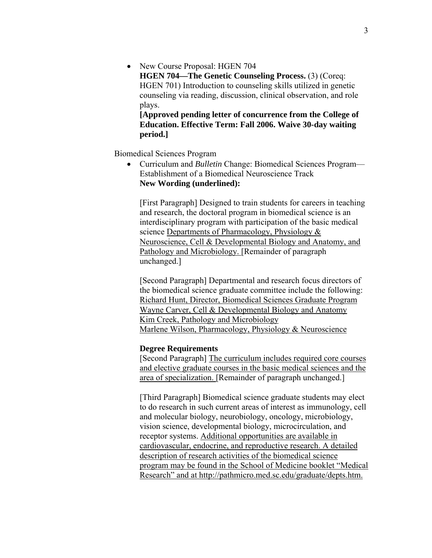• New Course Proposal: HGEN 704 **HGEN 704—The Genetic Counseling Process.** (3) (Coreq: HGEN 701) Introduction to counseling skills utilized in genetic counseling via reading, discussion, clinical observation, and role plays.

**[Approved pending letter of concurrence from the College of Education. Effective Term: Fall 2006. Waive 30-day waiting period.]** 

Biomedical Sciences Program

• Curriculum and *Bulletin* Change: Biomedical Sciences Program— Establishment of a Biomedical Neuroscience Track **New Wording (underlined):** 

[First Paragraph] Designed to train students for careers in teaching and research, the doctoral program in biomedical science is an interdisciplinary program with participation of the basic medical science Departments of Pharmacology, Physiology & Neuroscience, Cell & Developmental Biology and Anatomy, and Pathology and Microbiology. [Remainder of paragraph unchanged.]

[Second Paragraph] Departmental and research focus directors of the biomedical science graduate committee include the following: Richard Hunt, Director, Biomedical Sciences Graduate Program Wayne Carver, Cell & Developmental Biology and Anatomy Kim Creek, Pathology and Microbiology Marlene Wilson, Pharmacology, Physiology & Neuroscience

### **Degree Requirements**

[Second Paragraph] The curriculum includes required core courses and elective graduate courses in the basic medical sciences and the area of specialization. [Remainder of paragraph unchanged.]

[Third Paragraph] Biomedical science graduate students may elect to do research in such current areas of interest as immunology, cell and molecular biology, neurobiology, oncology, microbiology, vision science, developmental biology, microcirculation, and receptor systems. Additional opportunities are available in cardiovascular, endocrine, and reproductive research. A detailed description of research activities of the biomedical science program may be found in the School of Medicine booklet "Medical Research" and at http://pathmicro.med.sc.edu/graduate/depts.htm.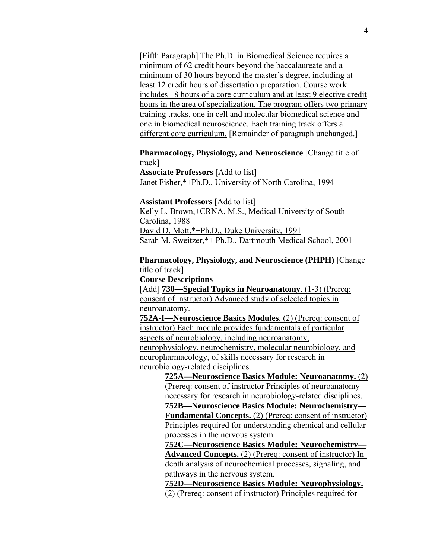[Fifth Paragraph] The Ph.D. in Biomedical Science requires a minimum of 62 credit hours beyond the baccalaureate and a minimum of 30 hours beyond the master's degree, including at least 12 credit hours of dissertation preparation. Course work includes 18 hours of a core curriculum and at least 9 elective credit hours in the area of specialization. The program offers two primary training tracks, one in cell and molecular biomedical science and one in biomedical neuroscience. Each training track offers a different core curriculum. [Remainder of paragraph unchanged.]

# **Pharmacology, Physiology, and Neuroscience** [Change title of track]

**Associate Professors** [Add to list] Janet Fisher,\*+Ph.D., University of North Carolina, 1994

**Assistant Professors** [Add to list]

Kelly L. Brown,+CRNA, M.S., Medical University of South Carolina, 1988 David D. Mott,\*+Ph.D., Duke University, 1991 Sarah M. Sweitzer,\*+ Ph.D., Dartmouth Medical School, 2001

### **Pharmacology, Physiology, and Neuroscience (PHPH)** [Change title of track]

**Course Descriptions** 

[Add] **730—Special Topics in Neuroanatomy**. (1-3) (Prereq: consent of instructor) Advanced study of selected topics in neuroanatomy.

**752A-I—Neuroscience Basics Modules**. (2) (Prereq: consent of instructor) Each module provides fundamentals of particular aspects of neurobiology, including neuroanatomy, neurophysiology, neurochemistry, molecular neurobiology, and neuropharmacology, of skills necessary for research in neurobiology-related disciplines.

**725A—Neuroscience Basics Module: Neuroanatomy.** (2) (Prereq: consent of instructor Principles of neuroanatomy necessary for research in neurobiology-related disciplines. **752B—Neuroscience Basics Module: Neurochemistry—**

**Fundamental Concepts.** (2) (Prereq: consent of instructor) Principles required for understanding chemical and cellular processes in the nervous system.

**752C—Neuroscience Basics Module: Neurochemistry— Advanced Concepts.** (2) (Prereq: consent of instructor) Indepth analysis of neurochemical processes, signaling, and pathways in the nervous system.

**752D—Neuroscience Basics Module: Neurophysiology.** (2) (Prereq: consent of instructor) Principles required for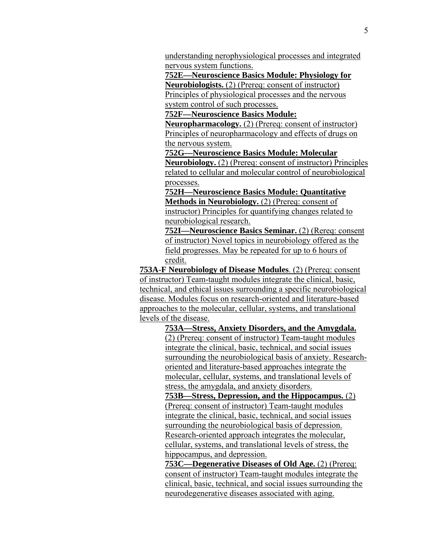understanding nerophysiological processes and integrated nervous system functions.

**752E—Neuroscience Basics Module: Physiology for Neurobiologists.** (2) (Prereq: consent of instructor) Principles of physiological processes and the nervous

system control of such processes.

**752F—Neuroscience Basics Module:** 

**Neuropharmacology.** (2) (Prereq: consent of instructor) Principles of neuropharmacology and effects of drugs on the nervous system.

**752G—Neuroscience Basics Module: Molecular Neurobiology.** (2) (Prereq: consent of instructor) Principles related to cellular and molecular control of neurobiological processes.

**752H—Neuroscience Basics Module: Quantitative Methods in Neurobiology.** (2) (Prereq: consent of instructor) Principles for quantifying changes related to neurobiological research.

**752I—Neuroscience Basics Seminar.** (2) (Rereq: consent of instructor) Novel topics in neurobiology offered as the field progresses. May be repeated for up to 6 hours of credit.

**753A-F Neurobiology of Disease Modules**. (2) (Prereq: consent of instructor) Team-taught modules integrate the clinical, basic, technical, and ethical issues surrounding a specific neurobiological disease. Modules focus on research-oriented and literature-based approaches to the molecular, cellular, systems, and translational levels of the disease.

> **753A—Stress, Anxiety Disorders, and the Amygdala.** (2) (Prereq: consent of instructor) Team-taught modules integrate the clinical, basic, technical, and social issues surrounding the neurobiological basis of anxiety. Researchoriented and literature-based approaches integrate the molecular, cellular, systems, and translational levels of stress, the amygdala, and anxiety disorders.

**753B—Stress, Depression, and the Hippocampus.** (2) (Prereq: consent of instructor) Team-taught modules integrate the clinical, basic, technical, and social issues surrounding the neurobiological basis of depression. Research-oriented approach integrates the molecular, cellular, systems, and translational levels of stress, the hippocampus, and depression.

**753C—Degenerative Diseases of Old Age.** (2) (Prereq: consent of instructor) Team-taught modules integrate the clinical, basic, technical, and social issues surrounding the neurodegenerative diseases associated with aging.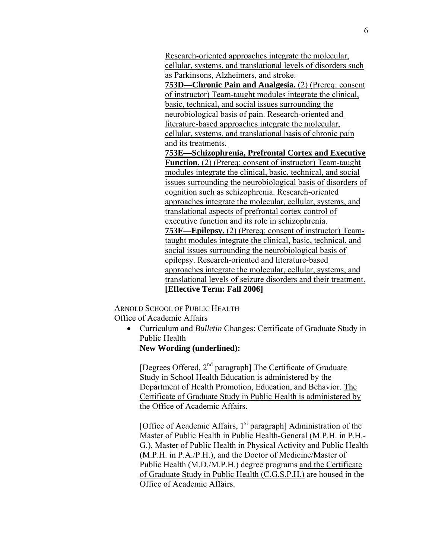Research-oriented approaches integrate the molecular, cellular, systems, and translational levels of disorders such as Parkinsons, Alzheimers, and stroke.

**753D—Chronic Pain and Analgesia.** (2) (Prereq: consent of instructor) Team-taught modules integrate the clinical, basic, technical, and social issues surrounding the neurobiological basis of pain. Research-oriented and literature-based approaches integrate the molecular, cellular, systems, and translational basis of chronic pain and its treatments.

**753E—Schizophrenia, Prefrontal Cortex and Executive Function.** (2) (Prereq: consent of instructor) Team-taught modules integrate the clinical, basic, technical, and social issues surrounding the neurobiological basis of disorders of cognition such as schizophrenia. Research-oriented approaches integrate the molecular, cellular, systems, and translational aspects of prefrontal cortex control of executive function and its role in schizophrenia. **753F—Epilepsy.** (2) (Prereq: consent of instructor) Teamtaught modules integrate the clinical, basic, technical, and social issues surrounding the neurobiological basis of epilepsy. Research-oriented and literature-based approaches integrate the molecular, cellular, systems, and translational levels of seizure disorders and their treatment. **[Effective Term: Fall 2006]** 

 ARNOLD SCHOOL OF PUBLIC HEALTH Office of Academic Affairs

• Curriculum and *Bulletin* Changes: Certificate of Graduate Study in Public Health

**New Wording (underlined):** 

[Degrees Offered, 2<sup>nd</sup> paragraph] The Certificate of Graduate Study in School Health Education is administered by the Department of Health Promotion, Education, and Behavior. The Certificate of Graduate Study in Public Health is administered by the Office of Academic Affairs.

[Office of Academic Affairs,  $1<sup>st</sup>$  paragraph] Administration of the Master of Public Health in Public Health-General (M.P.H. in P.H.- G.), Master of Public Health in Physical Activity and Public Health (M.P.H. in P.A./P.H.), and the Doctor of Medicine/Master of Public Health (M.D./M.P.H.) degree programs and the Certificate of Graduate Study in Public Health (C.G.S.P.H.) are housed in the Office of Academic Affairs.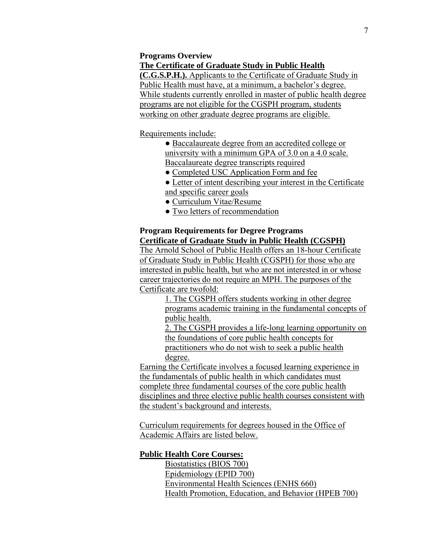# **Programs Overview**

### **The Certificate of Graduate Study in Public Health**

**(C.G.S.P.H.).** Applicants to the Certificate of Graduate Study in Public Health must have, at a minimum, a bachelor's degree. While students currently enrolled in master of public health degree programs are not eligible for the CGSPH program, students working on other graduate degree programs are eligible.

### Requirements include:

- Baccalaureate degree from an accredited college or university with a minimum GPA of 3.0 on a 4.0 scale. Baccalaureate degree transcripts required
- Completed USC Application Form and fee
- Letter of intent describing your interest in the Certificate and specific career goals
- Curriculum Vitae/Resume
- Two letters of recommendation

## **Program Requirements for Degree Programs Certificate of Graduate Study in Public Health (CGSPH)**

The Arnold School of Public Health offers an 18-hour Certificate of Graduate Study in Public Health (CGSPH) for those who are interested in public health, but who are not interested in or whose career trajectories do not require an MPH. The purposes of the Certificate are twofold:

1. The CGSPH offers students working in other degree programs academic training in the fundamental concepts of public health.

2. The CGSPH provides a life-long learning opportunity on the foundations of core public health concepts for practitioners who do not wish to seek a public health degree.

Earning the Certificate involves a focused learning experience in the fundamentals of public health in which candidates must complete three fundamental courses of the core public health disciplines and three elective public health courses consistent with the student's background and interests.

Curriculum requirements for degrees housed in the Office of Academic Affairs are listed below.

### **Public Health Core Courses:**

 Biostatistics (BIOS 700) Epidemiology (EPID 700) Environmental Health Sciences (ENHS 660) Health Promotion, Education, and Behavior (HPEB 700)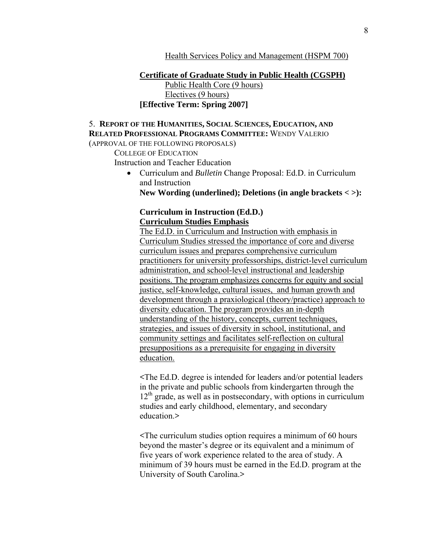Health Services Policy and Management (HSPM 700)

 **Certificate of Graduate Study in Public Health (CGSPH)** Public Health Core (9 hours) Electives (9 hours) **[Effective Term: Spring 2007]**

# 5. **REPORT OF THE HUMANITIES, SOCIAL SCIENCES, EDUCATION, AND RELATED PROFESSIONAL PROGRAMS COMMITTEE:** WENDY VALERIO

(APPROVAL OF THE FOLLOWING PROPOSALS)

COLLEGE OF EDUCATION

Instruction and Teacher Education

• Curriculum and *Bulletin* Change Proposal: Ed.D. in Curriculum and Instruction

**New Wording (underlined); Deletions (in angle brackets < >):** 

### **Curriculum in Instruction (Ed.D.) Curriculum Studies Emphasis**

The Ed.D. in Curriculum and Instruction with emphasis in Curriculum Studies stressed the importance of core and diverse curriculum issues and prepares comprehensive curriculum practitioners for university professorships, district-level curriculum administration, and school-level instructional and leadership positions. The program emphasizes concerns for equity and social justice, self-knowledge, cultural issues, and human growth and development through a praxiological (theory/practice) approach to diversity education. The program provides an in-depth understanding of the history, concepts, current techniques, strategies, and issues of diversity in school, institutional, and community settings and facilitates self-reflection on cultural presuppositions as a prerequisite for engaging in diversity education.

**<**The Ed.D. degree is intended for leaders and/or potential leaders in the private and public schools from kindergarten through the  $12<sup>th</sup>$  grade, as well as in postsecondary, with options in curriculum studies and early childhood, elementary, and secondary education.**>** 

**<**The curriculum studies option requires a minimum of 60 hours beyond the master's degree or its equivalent and a minimum of five years of work experience related to the area of study. A minimum of 39 hours must be earned in the Ed.D. program at the University of South Carolina.**>**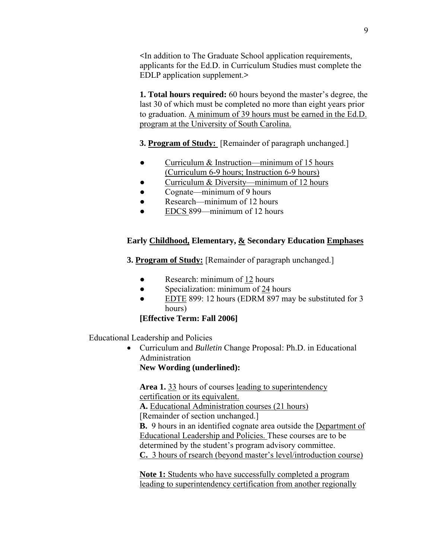**<**In addition to The Graduate School application requirements, applicants for the Ed.D. in Curriculum Studies must complete the EDLP application supplement.**>** 

**1. Total hours required:** 60 hours beyond the master's degree, the last 30 of which must be completed no more than eight years prior to graduation. A minimum of 39 hours must be earned in the Ed.D. program at the University of South Carolina.

**3. Program of Study:** [Remainder of paragraph unchanged.]

- Curriculum & Instruction—minimum of 15 hours (Curriculum 6-9 hours; Instruction 6-9 hours)
- Curriculum & Diversity—minimum of 12 hours
- Cognate—minimum of 9 hours
- Research—minimum of 12 hours
- EDCS 899—minimum of 12 hours

# **Early Childhood, Elementary, & Secondary Education Emphases**

**3. Program of Study:** [Remainder of paragraph unchanged.]

- Research: minimum of 12 hours
- Specialization: minimum of 24 hours
- EDTE 899: 12 hours (EDRM 897 may be substituted for 3 hours)

# **[Effective Term: Fall 2006]**

Educational Leadership and Policies

• Curriculum and *Bulletin* Change Proposal: Ph.D. in Educational Administration

**New Wording (underlined):** 

**Area 1.** 33 hours of courses leading to superintendency certification or its equivalent.

**A.** Educational Administration courses (21 hours)

[Remainder of section unchanged.]

**B.** 9 hours in an identified cognate area outside the Department of Educational Leadership and Policies. These courses are to be determined by the student's program advisory committee. **C.** 3 hours of rsearch (beyond master's level/introduction course)

**Note 1:** Students who have successfully completed a program leading to superintendency certification from another regionally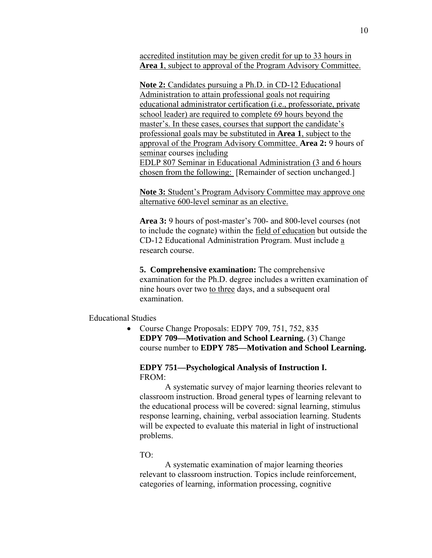accredited institution may be given credit for up to 33 hours in **Area 1**, subject to approval of the Program Advisory Committee.

**Note 2:** Candidates pursuing a Ph.D. in CD-12 Educational Administration to attain professional goals not requiring educational administrator certification (i.e., professoriate, private school leader) are required to complete 69 hours beyond the master's. In these cases, courses that support the candidate's professional goals may be substituted in **Area 1**, subject to the approval of the Program Advisory Committee. **Area 2:** 9 hours of seminar courses including EDLP 807 Seminar in Educational Administration (3 and 6 hours chosen from the following: [Remainder of section unchanged.]

**Note 3:** Student's Program Advisory Committee may approve one alternative 600-level seminar as an elective.

**Area 3:** 9 hours of post-master's 700- and 800-level courses (not to include the cognate) within the field of education but outside the CD-12 Educational Administration Program. Must include a research course.

**5. Comprehensive examination:** The comprehensive examination for the Ph.D. degree includes a written examination of nine hours over two to three days, and a subsequent oral examination.

## Educational Studies

• Course Change Proposals: EDPY 709, 751, 752, 835 **EDPY 709—Motivation and School Learning.** (3) Change course number to **EDPY 785—Motivation and School Learning.** 

### **EDPY 751—Psychological Analysis of Instruction I.**  FROM:

 A systematic survey of major learning theories relevant to classroom instruction. Broad general types of learning relevant to the educational process will be covered: signal learning, stimulus response learning, chaining, verbal association learning. Students will be expected to evaluate this material in light of instructional problems.

### TO:

 A systematic examination of major learning theories relevant to classroom instruction. Topics include reinforcement, categories of learning, information processing, cognitive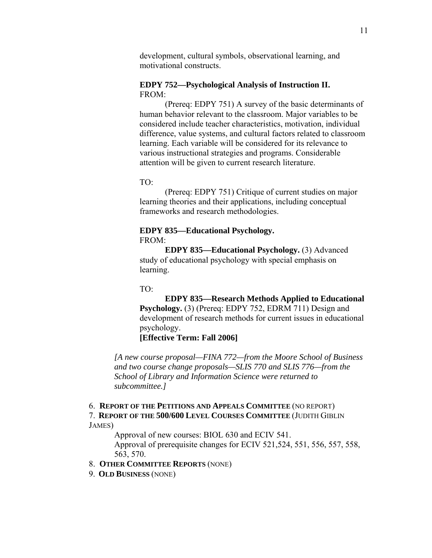development, cultural symbols, observational learning, and motivational constructs.

## **EDPY 752—Psychological Analysis of Instruction II.**  FROM:

 (Prereq: EDPY 751) A survey of the basic determinants of human behavior relevant to the classroom. Major variables to be considered include teacher characteristics, motivation, individual difference, value systems, and cultural factors related to classroom learning. Each variable will be considered for its relevance to various instructional strategies and programs. Considerable attention will be given to current research literature.

### TO:

 (Prereq: EDPY 751) Critique of current studies on major learning theories and their applications, including conceptual frameworks and research methodologies.

### **EDPY 835—Educational Psychology.**  FROM:

**EDPY 835—Educational Psychology.** (3) Advanced study of educational psychology with special emphasis on learning.

### TO:

**EDPY 835—Research Methods Applied to Educational Psychology.** (3) (Prereq: EDPY 752, EDRM 711) Design and development of research methods for current issues in educational psychology.

**[Effective Term: Fall 2006]**

*[A new course proposal—FINA 772—from the Moore School of Business and two course change proposals—SLIS 770 and SLIS 776—from the School of Library and Information Science were returned to subcommittee.]* 

#### 6. **REPORT OF THE PETITIONS AND APPEALS COMMITTEE** (NO REPORT)

7. **REPORT OF THE 500/600 LEVEL COURSES COMMITTEE** (JUDITH GIBLIN JAMES)

Approval of new courses: BIOL 630 and ECIV 541.

Approval of prerequisite changes for ECIV 521,524, 551, 556, 557, 558, 563, 570.

### 8. **OTHER COMMITTEE REPORTS** (NONE)

9. **OLD BUSINESS** (NONE)